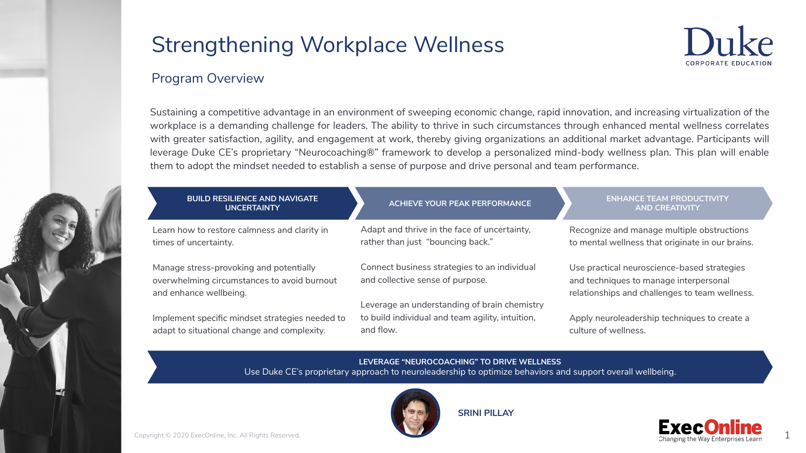

### Program Overview

Sustaining a competitive advantage in an environment of sweeping economic change, rapid innovation, and increasing virtualization of the workplace is a demanding challenge for leaders. The ability to thrive in such circumstances through enhanced mental wellness correlates with greater satisfaction, agility, and engagement at work, thereby giving organizations an additional market advantage. Participants will leverage Duke CE's proprietary "Neurocoaching®" framework to develop a personalized mind-body wellness plan. This plan will enable them to adopt the mindset needed to establish a sense of purpose and drive personal and team performance.



| <b>BUILD RESILIENCE AND NAVIGATE</b><br><b>UNCERTAINTY</b>                                                       | <b>ACHIEVE YOUR PEAK PERFORMANCE</b>                                              | <b>ENHANCE TEAM PRODUCTIVITY</b><br><b>AND CREATIVITY</b>                                                                               |
|------------------------------------------------------------------------------------------------------------------|-----------------------------------------------------------------------------------|-----------------------------------------------------------------------------------------------------------------------------------------|
| Learn how to restore calmness and clarity in<br>times of uncertainty.                                            | Adapt and thrive in the face of uncertainty,<br>rather than just "bouncing back." | Recognize and manage multiple obstructions<br>to mental wellness that originate in our brains.                                          |
| Manage stress-provoking and potentially<br>overwhelming circumstances to avoid burnout<br>and enhance wellbeing. | Connect business strategies to an individual<br>and collective sense of purpose.  | Use practical neuroscience-based strategies<br>and techniques to manage interpersonal<br>relationships and challenges to team wellness. |
|                                                                                                                  | Leverage an understanding of brain chemistry                                      |                                                                                                                                         |
| Implement specific mindset strategies needed to<br>adapt to situational change and complexity.                   | to build individual and team agility, intuition,<br>and flow.                     | Apply neuroleadership techniques to create a<br>culture of wellness.                                                                    |

**LEVERAGE "NEUROCOACHING" TO DRIVE WELLNESS** Use Duke CE's proprietary approach to neuroleadership to optimize behaviors and support overall wellbeing.



**SRINI PILLAY**

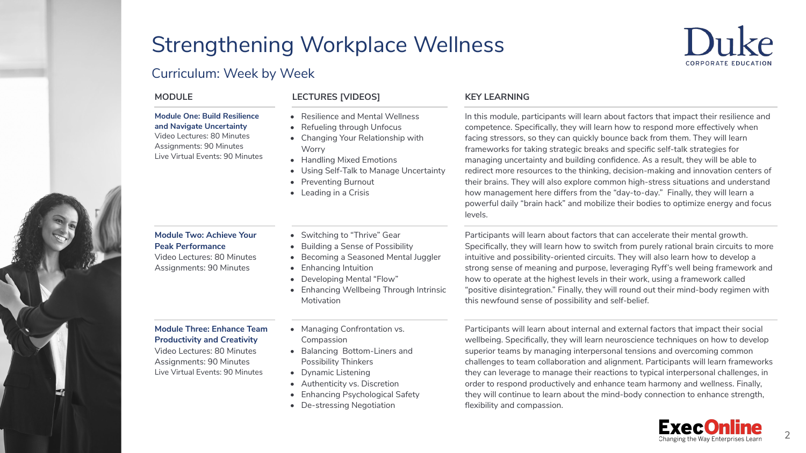**Worry** 

### Curriculum: Week by Week

#### **Module One: Build Resilience and Navigate Uncertainty**

Video Lectures: 80 Minutes Assignments: 90 Minutes Live Virtual Events: 90 Minutes

#### **Module Two: Achieve Your Peak Performance**

Video Lectures: 80 Minutes Assignments: 90 Minutes

#### **Module Three: Enhance Team Productivity and Creativity**

Video Lectures: 80 Minutes Assignments: 90 Minutes Live Virtual Events: 90 Minutes • Switching to "Thrive" Gear • Building a Sense of Possibility

• Handling Mixed Emotions

• Preventing Burnout • Leading in a Crisis

• Resilience and Mental Wellness • Refueling through Unfocus • Changing Your Relationship with

• Becoming a Seasoned Mental Juggler

• Using Self-Talk to Manage Uncertainty

- Enhancing Intuition
- Developing Mental "Flow"
- Enhancing Wellbeing Through Intrinsic Motivation
- Managing Confrontation vs. Compassion
- Balancing Bottom-Liners and Possibility Thinkers
- Dynamic Listening
- Authenticity vs. Discretion
- Enhancing Psychological Safety
- De-stressing Negotiation

#### **MODULE LECTURES [VIDEOS] KEY LEARNING**

In this module, participants will learn about factors that impact their resilience and competence. Specifically, they will learn how to respond more effectively when facing stressors, so they can quickly bounce back from them. They will learn frameworks for taking strategic breaks and specific self-talk strategies for managing uncertainty and building confidence. As a result, they will be able to redirect more resources to the thinking, decision-making and innovation centers of their brains. They will also explore common high-stress situations and understand how management here differs from the "day-to-day." Finally, they will learn a powerful daily "brain hack" and mobilize their bodies to optimize energy and focus levels.

Participants will learn about factors that can accelerate their mental growth. Specifically, they will learn how to switch from purely rational brain circuits to more intuitive and possibility-oriented circuits. They will also learn how to develop a strong sense of meaning and purpose, leveraging Ryff's well being framework and how to operate at the highest levels in their work, using a framework called "positive disintegration." Finally, they will round out their mind-body regimen with this newfound sense of possibility and self-belief.

Participants will learn about internal and external factors that impact their social wellbeing. Specifically, they will learn neuroscience techniques on how to develop superior teams by managing interpersonal tensions and overcoming common challenges to team collaboration and alignment. Participants will learn frameworks they can leverage to manage their reactions to typical interpersonal challenges, in order to respond productively and enhance team harmony and wellness. Finally, they will continue to learn about the mind-body connection to enhance strength, flexibility and compassion.





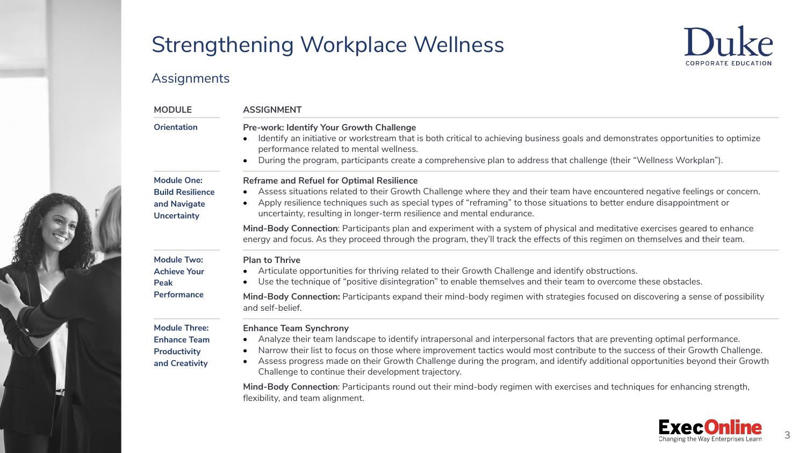

# Assignments

| <b>MODULE</b>                                                                       | <b>ASSIGNMENT</b>                                                                                                                                                                                                                                                                                                                                                                                                                                                                            |
|-------------------------------------------------------------------------------------|----------------------------------------------------------------------------------------------------------------------------------------------------------------------------------------------------------------------------------------------------------------------------------------------------------------------------------------------------------------------------------------------------------------------------------------------------------------------------------------------|
| <b>Orientation</b>                                                                  | Pre-work: Identify Your Growth Challenge<br>Identify an initiative or workstream that is both critical to achieving business goals and demonstrates opportunities to optimize<br>performance related to mental wellness.<br>During the program, participants create a comprehensive plan to address that challenge (their "Wellness Workplan").<br>$\bullet$                                                                                                                                 |
| <b>Module One:</b><br><b>Build Resilience</b><br>and Navigate<br><b>Uncertainty</b> | Reframe and Refuel for Optimal Resilience<br>Assess situations related to their Growth Challenge where they and their team have encountered negative feelings or concern.<br>Apply resilience techniques such as special types of "reframing" to those situations to better endure disappointment or<br>$\bullet$<br>uncertainty, resulting in longer-term resilience and mental endurance.                                                                                                  |
|                                                                                     | Mind-Body Connection: Participants plan and experiment with a system of physical and meditative exercises geared to enhance<br>energy and focus. As they proceed through the program, they'll track the effects of this regimen on themselves and their team.                                                                                                                                                                                                                                |
| <b>Module Two:</b><br><b>Achieve Your</b><br>Peak                                   | <b>Plan to Thrive</b><br>Articulate opportunities for thriving related to their Growth Challenge and identify obstructions.<br>Use the technique of "positive disintegration" to enable themselves and their team to overcome these obstacles.                                                                                                                                                                                                                                               |
| Performance                                                                         | Mind-Body Connection: Participants expand their mind-body regimen with strategies focused on discovering a sense of possibility<br>and self-belief.                                                                                                                                                                                                                                                                                                                                          |
| <b>Module Three:</b><br><b>Enhance Team</b><br>Productivity<br>and Creativity       | <b>Enhance Team Synchrony</b><br>Analyze their team landscape to identify intrapersonal and interpersonal factors that are preventing optimal performance.<br>Narrow their list to focus on those where improvement tactics would most contribute to the success of their Growth Challenge.<br>٠<br>Assess progress made on their Growth Challenge during the program, and identify additional opportunities beyond their Growth<br>٠<br>Challenge to continue their development trajectory. |
|                                                                                     | Mind-Body Connection: Participants round out their mind-body regimen with exercises and techniques for enhancing strength,<br>flexibility, and team alignment.                                                                                                                                                                                                                                                                                                                               |

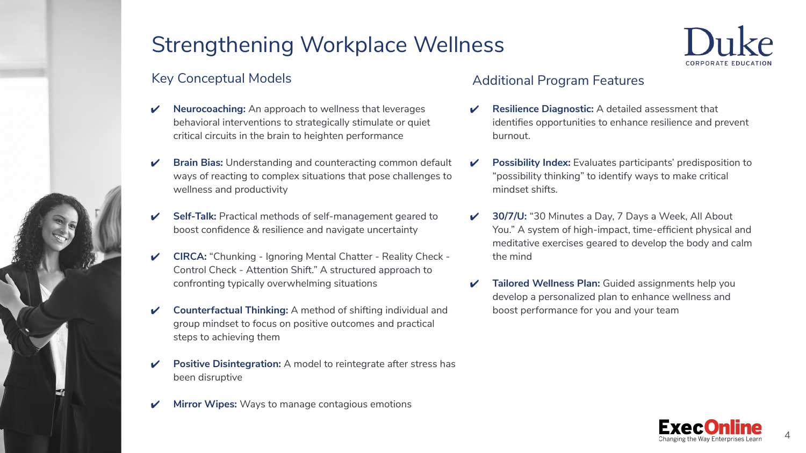

# Key Conceptual Models

- **Neurocoaching:** An approach to wellness that leverages behavioral interventions to strategically stimulate or quiet critical circuits in the brain to heighten performance
- **Brain Bias:** Understanding and counteracting common default ways of reacting to complex situations that pose challenges to wellness and productivity
- Self-Talk: Practical methods of self-management geared to boost confidence & resilience and navigate uncertainty
- ✔ **CIRCA:** "Chunking Ignoring Mental Chatter Reality Check Control Check - Attention Shift." A structured approach to confronting typically overwhelming situations
- ✔ **Counterfactual Thinking:** A method of shifting individual and group mindset to focus on positive outcomes and practical steps to achieving them
- **Positive Disintegration:** A model to reintegrate after stress has been disruptive
- **Mirror Wipes:** Ways to manage contagious emotions

## Additional Program Features

- **Resilience Diagnostic:** A detailed assessment that identifies opportunities to enhance resilience and prevent burnout.
- **Possibility Index:** Evaluates participants' predisposition to "possibility thinking" to identify ways to make critical mindset shifts.
- 30/7/U: "30 Minutes a Day, 7 Days a Week, All About You." A system of high-impact, time-efficient physical and meditative exercises geared to develop the body and calm the mind
- **Tailored Wellness Plan:** Guided assignments help you develop a personalized plan to enhance wellness and boost performance for you and your team